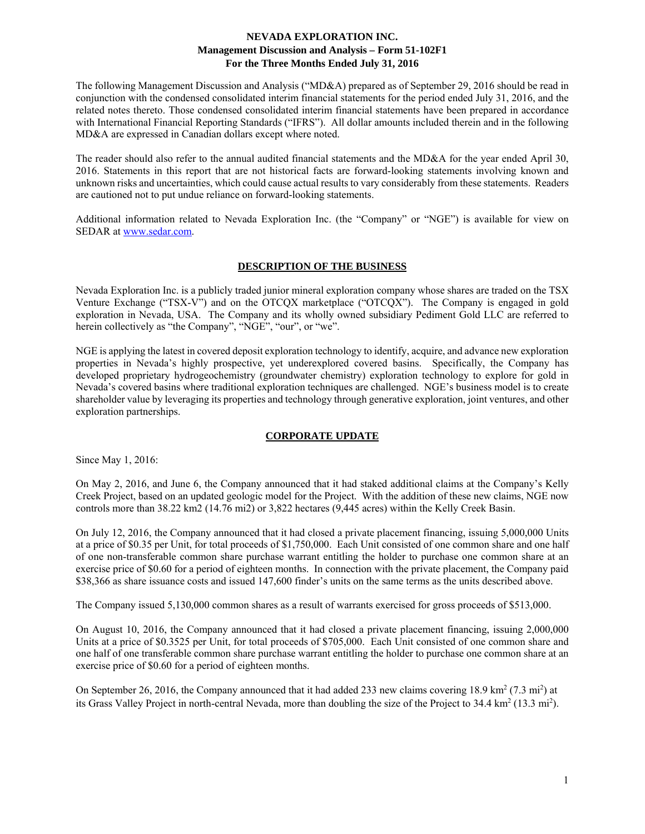The following Management Discussion and Analysis ("MD&A) prepared as of September 29, 2016 should be read in conjunction with the condensed consolidated interim financial statements for the period ended July 31, 2016, and the related notes thereto. Those condensed consolidated interim financial statements have been prepared in accordance with International Financial Reporting Standards ("IFRS"). All dollar amounts included therein and in the following MD&A are expressed in Canadian dollars except where noted.

The reader should also refer to the annual audited financial statements and the MD&A for the year ended April 30, 2016. Statements in this report that are not historical facts are forward-looking statements involving known and unknown risks and uncertainties, which could cause actual results to vary considerably from these statements. Readers are cautioned not to put undue reliance on forward-looking statements.

Additional information related to Nevada Exploration Inc. (the "Company" or "NGE") is available for view on SEDAR at www.sedar.com.

## **DESCRIPTION OF THE BUSINESS**

Nevada Exploration Inc. is a publicly traded junior mineral exploration company whose shares are traded on the TSX Venture Exchange ("TSX-V") and on the OTCQX marketplace ("OTCQX"). The Company is engaged in gold exploration in Nevada, USA. The Company and its wholly owned subsidiary Pediment Gold LLC are referred to herein collectively as "the Company", "NGE", "our", or "we".

NGE is applying the latest in covered deposit exploration technology to identify, acquire, and advance new exploration properties in Nevada's highly prospective, yet underexplored covered basins. Specifically, the Company has developed proprietary hydrogeochemistry (groundwater chemistry) exploration technology to explore for gold in Nevada's covered basins where traditional exploration techniques are challenged. NGE's business model is to create shareholder value by leveraging its properties and technology through generative exploration, joint ventures, and other exploration partnerships.

### **CORPORATE UPDATE**

Since May 1, 2016:

On May 2, 2016, and June 6, the Company announced that it had staked additional claims at the Company's Kelly Creek Project, based on an updated geologic model for the Project. With the addition of these new claims, NGE now controls more than 38.22 km2 (14.76 mi2) or 3,822 hectares (9,445 acres) within the Kelly Creek Basin.

On July 12, 2016, the Company announced that it had closed a private placement financing, issuing 5,000,000 Units at a price of \$0.35 per Unit, for total proceeds of \$1,750,000. Each Unit consisted of one common share and one half of one non-transferable common share purchase warrant entitling the holder to purchase one common share at an exercise price of \$0.60 for a period of eighteen months. In connection with the private placement, the Company paid \$38,366 as share issuance costs and issued 147,600 finder's units on the same terms as the units described above.

The Company issued 5,130,000 common shares as a result of warrants exercised for gross proceeds of \$513,000.

On August 10, 2016, the Company announced that it had closed a private placement financing, issuing 2,000,000 Units at a price of \$0.3525 per Unit, for total proceeds of \$705,000. Each Unit consisted of one common share and one half of one transferable common share purchase warrant entitling the holder to purchase one common share at an exercise price of \$0.60 for a period of eighteen months.

On September 26, 2016, the Company announced that it had added 233 new claims covering 18.9 km<sup>2</sup> (7.3 mi<sup>2</sup>) at its Grass Valley Project in north-central Nevada, more than doubling the size of the Project to  $34.4 \text{ km}^2 (13.3 \text{ mi}^2)$ .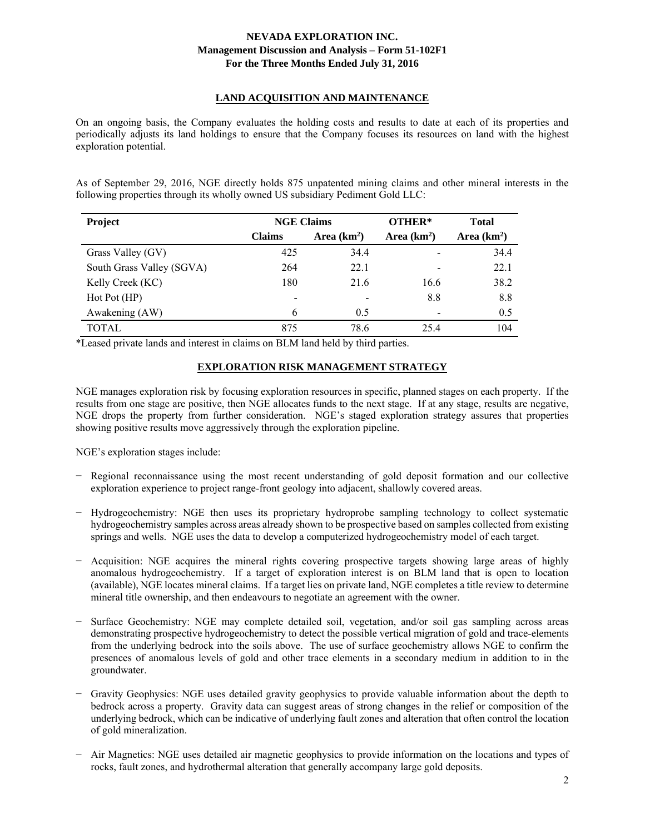# **LAND ACQUISITION AND MAINTENANCE**

On an ongoing basis, the Company evaluates the holding costs and results to date at each of its properties and periodically adjusts its land holdings to ensure that the Company focuses its resources on land with the highest exploration potential.

As of September 29, 2016, NGE directly holds 875 unpatented mining claims and other mineral interests in the following properties through its wholly owned US subsidiary Pediment Gold LLC:

| Project                   | <b>NGE Claims</b> |              | OTHER*                   | <b>Total</b> |
|---------------------------|-------------------|--------------|--------------------------|--------------|
|                           | <b>Claims</b>     | Area $(km2)$ | Area $(km2)$             | Area $(km2)$ |
| Grass Valley (GV)         | 425               | 34.4         |                          | 34.4         |
| South Grass Valley (SGVA) | 264               | 22.1         |                          | 22.1         |
| Kelly Creek (KC)          | 180               | 21.6         | 16.6                     | 38.2         |
| Hot Pot (HP)              |                   |              | 8.8                      | 8.8          |
| Awakening (AW)            | 6                 | 0.5          | $\overline{\phantom{0}}$ | 0.5          |
| TOTAL                     | 875               | 78.6         | 25.4                     | 104          |

\*Leased private lands and interest in claims on BLM land held by third parties.

## **EXPLORATION RISK MANAGEMENT STRATEGY**

NGE manages exploration risk by focusing exploration resources in specific, planned stages on each property. If the results from one stage are positive, then NGE allocates funds to the next stage. If at any stage, results are negative, NGE drops the property from further consideration. NGE's staged exploration strategy assures that properties showing positive results move aggressively through the exploration pipeline.

NGE's exploration stages include:

- Regional reconnaissance using the most recent understanding of gold deposit formation and our collective exploration experience to project range-front geology into adjacent, shallowly covered areas.
- − Hydrogeochemistry: NGE then uses its proprietary hydroprobe sampling technology to collect systematic hydrogeochemistry samples across areas already shown to be prospective based on samples collected from existing springs and wells. NGE uses the data to develop a computerized hydrogeochemistry model of each target.
- − Acquisition: NGE acquires the mineral rights covering prospective targets showing large areas of highly anomalous hydrogeochemistry. If a target of exploration interest is on BLM land that is open to location (available), NGE locates mineral claims. If a target lies on private land, NGE completes a title review to determine mineral title ownership, and then endeavours to negotiate an agreement with the owner.
- − Surface Geochemistry: NGE may complete detailed soil, vegetation, and/or soil gas sampling across areas demonstrating prospective hydrogeochemistry to detect the possible vertical migration of gold and trace-elements from the underlying bedrock into the soils above. The use of surface geochemistry allows NGE to confirm the presences of anomalous levels of gold and other trace elements in a secondary medium in addition to in the groundwater.
- − Gravity Geophysics: NGE uses detailed gravity geophysics to provide valuable information about the depth to bedrock across a property. Gravity data can suggest areas of strong changes in the relief or composition of the underlying bedrock, which can be indicative of underlying fault zones and alteration that often control the location of gold mineralization.
- − Air Magnetics: NGE uses detailed air magnetic geophysics to provide information on the locations and types of rocks, fault zones, and hydrothermal alteration that generally accompany large gold deposits.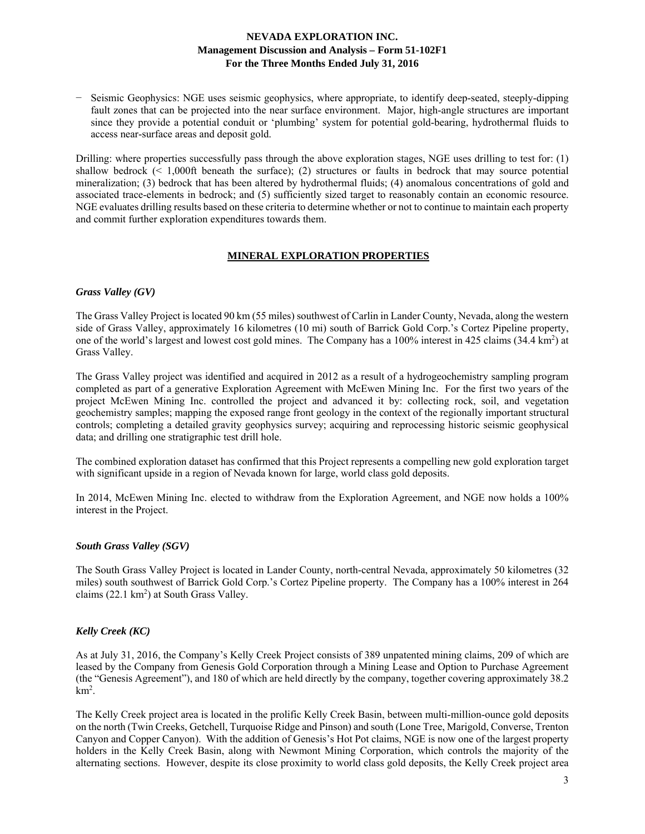− Seismic Geophysics: NGE uses seismic geophysics, where appropriate, to identify deep-seated, steeply-dipping fault zones that can be projected into the near surface environment. Major, high-angle structures are important since they provide a potential conduit or 'plumbing' system for potential gold-bearing, hydrothermal fluids to access near-surface areas and deposit gold.

Drilling: where properties successfully pass through the above exploration stages, NGE uses drilling to test for: (1) shallow bedrock (< 1,000ft beneath the surface); (2) structures or faults in bedrock that may source potential mineralization; (3) bedrock that has been altered by hydrothermal fluids; (4) anomalous concentrations of gold and associated trace-elements in bedrock; and (5) sufficiently sized target to reasonably contain an economic resource. NGE evaluates drilling results based on these criteria to determine whether or not to continue to maintain each property and commit further exploration expenditures towards them.

### **MINERAL EXPLORATION PROPERTIES**

### *Grass Valley (GV)*

The Grass Valley Project is located 90 km (55 miles) southwest of Carlin in Lander County, Nevada, along the western side of Grass Valley, approximately 16 kilometres (10 mi) south of Barrick Gold Corp.'s Cortez Pipeline property, one of the world's largest and lowest cost gold mines. The Company has a 100% interest in 425 claims (34.4 km<sup>2</sup>) at Grass Valley.

The Grass Valley project was identified and acquired in 2012 as a result of a hydrogeochemistry sampling program completed as part of a generative Exploration Agreement with McEwen Mining Inc. For the first two years of the project McEwen Mining Inc. controlled the project and advanced it by: collecting rock, soil, and vegetation geochemistry samples; mapping the exposed range front geology in the context of the regionally important structural controls; completing a detailed gravity geophysics survey; acquiring and reprocessing historic seismic geophysical data; and drilling one stratigraphic test drill hole.

The combined exploration dataset has confirmed that this Project represents a compelling new gold exploration target with significant upside in a region of Nevada known for large, world class gold deposits.

In 2014, McEwen Mining Inc. elected to withdraw from the Exploration Agreement, and NGE now holds a 100% interest in the Project.

### *South Grass Valley (SGV)*

The South Grass Valley Project is located in Lander County, north-central Nevada, approximately 50 kilometres (32 miles) south southwest of Barrick Gold Corp.'s Cortez Pipeline property. The Company has a 100% interest in 264 claims (22.1 km<sup>2</sup>) at South Grass Valley.

### *Kelly Creek (KC)*

As at July 31, 2016, the Company's Kelly Creek Project consists of 389 unpatented mining claims, 209 of which are leased by the Company from Genesis Gold Corporation through a Mining Lease and Option to Purchase Agreement (the "Genesis Agreement"), and 180 of which are held directly by the company, together covering approximately 38.2  $km^2$ .

The Kelly Creek project area is located in the prolific Kelly Creek Basin, between multi-million-ounce gold deposits on the north (Twin Creeks, Getchell, Turquoise Ridge and Pinson) and south (Lone Tree, Marigold, Converse, Trenton Canyon and Copper Canyon). With the addition of Genesis's Hot Pot claims, NGE is now one of the largest property holders in the Kelly Creek Basin, along with Newmont Mining Corporation, which controls the majority of the alternating sections. However, despite its close proximity to world class gold deposits, the Kelly Creek project area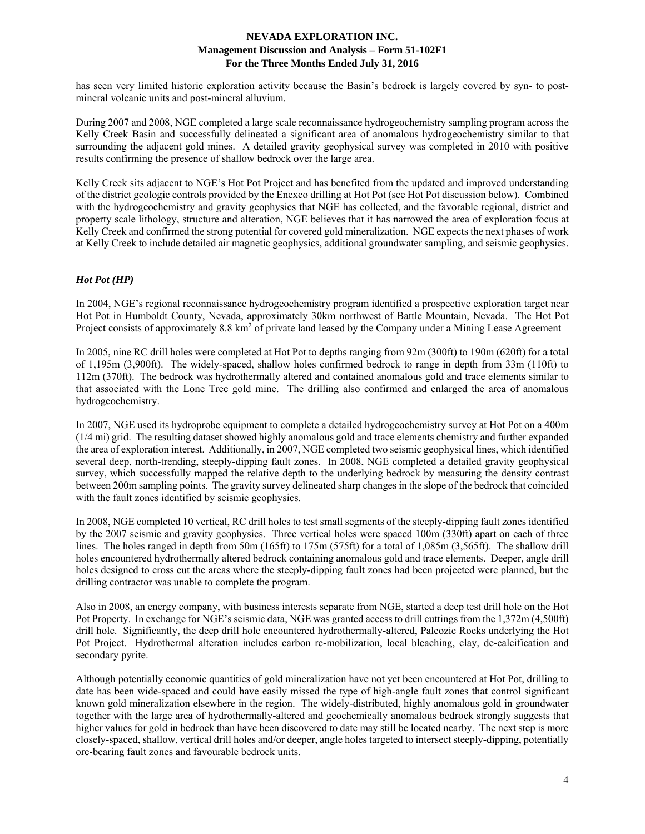has seen very limited historic exploration activity because the Basin's bedrock is largely covered by syn- to postmineral volcanic units and post-mineral alluvium.

During 2007 and 2008, NGE completed a large scale reconnaissance hydrogeochemistry sampling program across the Kelly Creek Basin and successfully delineated a significant area of anomalous hydrogeochemistry similar to that surrounding the adjacent gold mines. A detailed gravity geophysical survey was completed in 2010 with positive results confirming the presence of shallow bedrock over the large area.

Kelly Creek sits adjacent to NGE's Hot Pot Project and has benefited from the updated and improved understanding of the district geologic controls provided by the Enexco drilling at Hot Pot (see Hot Pot discussion below). Combined with the hydrogeochemistry and gravity geophysics that NGE has collected, and the favorable regional, district and property scale lithology, structure and alteration, NGE believes that it has narrowed the area of exploration focus at Kelly Creek and confirmed the strong potential for covered gold mineralization. NGE expects the next phases of work at Kelly Creek to include detailed air magnetic geophysics, additional groundwater sampling, and seismic geophysics.

### *Hot Pot (HP)*

In 2004, NGE's regional reconnaissance hydrogeochemistry program identified a prospective exploration target near Hot Pot in Humboldt County, Nevada, approximately 30km northwest of Battle Mountain, Nevada. The Hot Pot Project consists of approximately 8.8 km<sup>2</sup> of private land leased by the Company under a Mining Lease Agreement

In 2005, nine RC drill holes were completed at Hot Pot to depths ranging from 92m (300ft) to 190m (620ft) for a total of 1,195m (3,900ft). The widely-spaced, shallow holes confirmed bedrock to range in depth from 33m (110ft) to 112m (370ft). The bedrock was hydrothermally altered and contained anomalous gold and trace elements similar to that associated with the Lone Tree gold mine. The drilling also confirmed and enlarged the area of anomalous hydrogeochemistry.

In 2007, NGE used its hydroprobe equipment to complete a detailed hydrogeochemistry survey at Hot Pot on a 400m (1/4 mi) grid. The resulting dataset showed highly anomalous gold and trace elements chemistry and further expanded the area of exploration interest. Additionally, in 2007, NGE completed two seismic geophysical lines, which identified several deep, north-trending, steeply-dipping fault zones. In 2008, NGE completed a detailed gravity geophysical survey, which successfully mapped the relative depth to the underlying bedrock by measuring the density contrast between 200m sampling points. The gravity survey delineated sharp changes in the slope of the bedrock that coincided with the fault zones identified by seismic geophysics.

In 2008, NGE completed 10 vertical, RC drill holes to test small segments of the steeply-dipping fault zones identified by the 2007 seismic and gravity geophysics. Three vertical holes were spaced 100m (330ft) apart on each of three lines. The holes ranged in depth from 50m (165ft) to 175m (575ft) for a total of 1,085m (3,565ft). The shallow drill holes encountered hydrothermally altered bedrock containing anomalous gold and trace elements. Deeper, angle drill holes designed to cross cut the areas where the steeply-dipping fault zones had been projected were planned, but the drilling contractor was unable to complete the program.

Also in 2008, an energy company, with business interests separate from NGE, started a deep test drill hole on the Hot Pot Property. In exchange for NGE's seismic data, NGE was granted access to drill cuttings from the 1,372m (4,500ft) drill hole. Significantly, the deep drill hole encountered hydrothermally-altered, Paleozic Rocks underlying the Hot Pot Project. Hydrothermal alteration includes carbon re-mobilization, local bleaching, clay, de-calcification and secondary pyrite.

Although potentially economic quantities of gold mineralization have not yet been encountered at Hot Pot, drilling to date has been wide-spaced and could have easily missed the type of high-angle fault zones that control significant known gold mineralization elsewhere in the region. The widely-distributed, highly anomalous gold in groundwater together with the large area of hydrothermally-altered and geochemically anomalous bedrock strongly suggests that higher values for gold in bedrock than have been discovered to date may still be located nearby. The next step is more closely-spaced, shallow, vertical drill holes and/or deeper, angle holes targeted to intersect steeply-dipping, potentially ore-bearing fault zones and favourable bedrock units.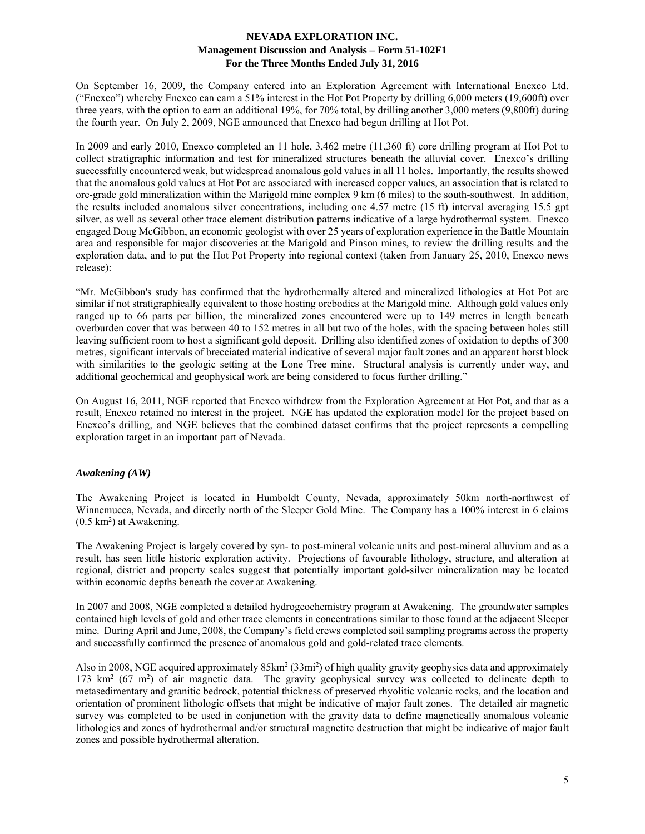On September 16, 2009, the Company entered into an Exploration Agreement with International Enexco Ltd. ("Enexco") whereby Enexco can earn a 51% interest in the Hot Pot Property by drilling 6,000 meters (19,600ft) over three years, with the option to earn an additional 19%, for 70% total, by drilling another 3,000 meters (9,800ft) during the fourth year. On July 2, 2009, NGE announced that Enexco had begun drilling at Hot Pot.

In 2009 and early 2010, Enexco completed an 11 hole, 3,462 metre (11,360 ft) core drilling program at Hot Pot to collect stratigraphic information and test for mineralized structures beneath the alluvial cover. Enexco's drilling successfully encountered weak, but widespread anomalous gold values in all 11 holes. Importantly, the results showed that the anomalous gold values at Hot Pot are associated with increased copper values, an association that is related to ore-grade gold mineralization within the Marigold mine complex 9 km (6 miles) to the south-southwest. In addition, the results included anomalous silver concentrations, including one 4.57 metre (15 ft) interval averaging 15.5 gpt silver, as well as several other trace element distribution patterns indicative of a large hydrothermal system. Enexco engaged Doug McGibbon, an economic geologist with over 25 years of exploration experience in the Battle Mountain area and responsible for major discoveries at the Marigold and Pinson mines, to review the drilling results and the exploration data, and to put the Hot Pot Property into regional context (taken from January 25, 2010, Enexco news release):

"Mr. McGibbon's study has confirmed that the hydrothermally altered and mineralized lithologies at Hot Pot are similar if not stratigraphically equivalent to those hosting orebodies at the Marigold mine. Although gold values only ranged up to 66 parts per billion, the mineralized zones encountered were up to 149 metres in length beneath overburden cover that was between 40 to 152 metres in all but two of the holes, with the spacing between holes still leaving sufficient room to host a significant gold deposit. Drilling also identified zones of oxidation to depths of 300 metres, significant intervals of brecciated material indicative of several major fault zones and an apparent horst block with similarities to the geologic setting at the Lone Tree mine. Structural analysis is currently under way, and additional geochemical and geophysical work are being considered to focus further drilling."

On August 16, 2011, NGE reported that Enexco withdrew from the Exploration Agreement at Hot Pot, and that as a result, Enexco retained no interest in the project. NGE has updated the exploration model for the project based on Enexco's drilling, and NGE believes that the combined dataset confirms that the project represents a compelling exploration target in an important part of Nevada.

### *Awakening (AW)*

The Awakening Project is located in Humboldt County, Nevada, approximately 50km north-northwest of Winnemucca, Nevada, and directly north of the Sleeper Gold Mine. The Company has a 100% interest in 6 claims  $(0.5 \text{ km}^2)$  at Awakening.

The Awakening Project is largely covered by syn- to post-mineral volcanic units and post-mineral alluvium and as a result, has seen little historic exploration activity. Projections of favourable lithology, structure, and alteration at regional, district and property scales suggest that potentially important gold-silver mineralization may be located within economic depths beneath the cover at Awakening.

In 2007 and 2008, NGE completed a detailed hydrogeochemistry program at Awakening. The groundwater samples contained high levels of gold and other trace elements in concentrations similar to those found at the adjacent Sleeper mine. During April and June, 2008, the Company's field crews completed soil sampling programs across the property and successfully confirmed the presence of anomalous gold and gold-related trace elements.

Also in 2008, NGE acquired approximately 85km<sup>2</sup> (33mi<sup>2</sup>) of high quality gravity geophysics data and approximately 173 km<sup>2</sup> (67 m<sup>2</sup>) of air magnetic data. The gravity geophysical survey was collected to delineate depth to metasedimentary and granitic bedrock, potential thickness of preserved rhyolitic volcanic rocks, and the location and orientation of prominent lithologic offsets that might be indicative of major fault zones. The detailed air magnetic survey was completed to be used in conjunction with the gravity data to define magnetically anomalous volcanic lithologies and zones of hydrothermal and/or structural magnetite destruction that might be indicative of major fault zones and possible hydrothermal alteration.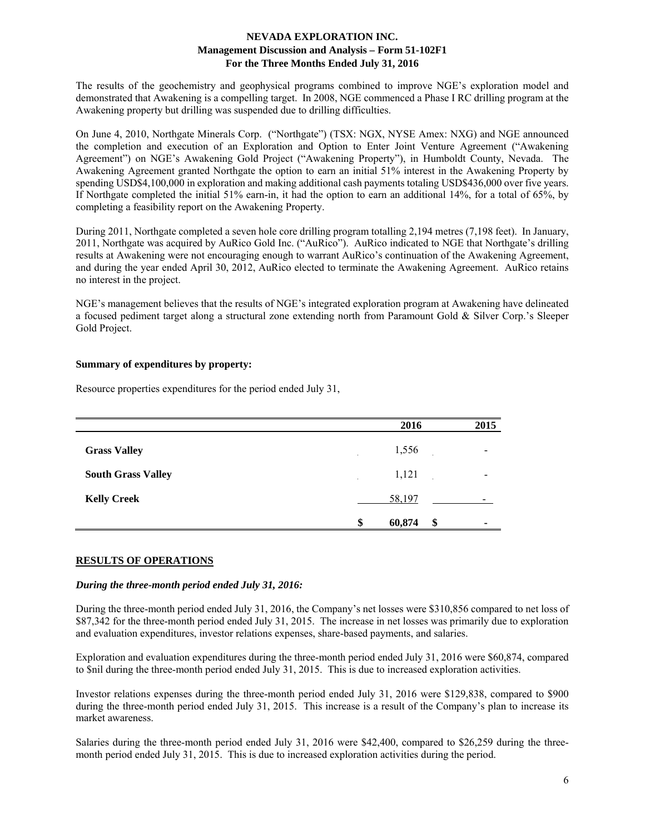The results of the geochemistry and geophysical programs combined to improve NGE's exploration model and demonstrated that Awakening is a compelling target. In 2008, NGE commenced a Phase I RC drilling program at the Awakening property but drilling was suspended due to drilling difficulties.

On June 4, 2010, Northgate Minerals Corp. ("Northgate") (TSX: NGX, NYSE Amex: NXG) and NGE announced the completion and execution of an Exploration and Option to Enter Joint Venture Agreement ("Awakening Agreement") on NGE's Awakening Gold Project ("Awakening Property"), in Humboldt County, Nevada. The Awakening Agreement granted Northgate the option to earn an initial 51% interest in the Awakening Property by spending USD\$4,100,000 in exploration and making additional cash payments totaling USD\$436,000 over five years. If Northgate completed the initial 51% earn-in, it had the option to earn an additional 14%, for a total of 65%, by completing a feasibility report on the Awakening Property.

During 2011, Northgate completed a seven hole core drilling program totalling 2,194 metres (7,198 feet). In January, 2011, Northgate was acquired by AuRico Gold Inc. ("AuRico"). AuRico indicated to NGE that Northgate's drilling results at Awakening were not encouraging enough to warrant AuRico's continuation of the Awakening Agreement, and during the year ended April 30, 2012, AuRico elected to terminate the Awakening Agreement. AuRico retains no interest in the project.

NGE's management believes that the results of NGE's integrated exploration program at Awakening have delineated a focused pediment target along a structural zone extending north from Paramount Gold & Silver Corp.'s Sleeper Gold Project.

### **Summary of expenditures by property:**

Resource properties expenditures for the period ended July 31,

|                           | 2016            | 2015 |
|---------------------------|-----------------|------|
| <b>Grass Valley</b>       | 1,556<br>$\sim$ |      |
| <b>South Grass Valley</b> | 1,121           |      |
| <b>Kelly Creek</b>        | 58,197          |      |
|                           | 60,874<br>\$    | \$   |

### **RESULTS OF OPERATIONS**

### *During the three-month period ended July 31, 2016:*

During the three-month period ended July 31, 2016, the Company's net losses were \$310,856 compared to net loss of \$87,342 for the three-month period ended July 31, 2015. The increase in net losses was primarily due to exploration and evaluation expenditures, investor relations expenses, share-based payments, and salaries.

Exploration and evaluation expenditures during the three-month period ended July 31, 2016 were \$60,874, compared to \$nil during the three-month period ended July 31, 2015. This is due to increased exploration activities.

Investor relations expenses during the three-month period ended July 31, 2016 were \$129,838, compared to \$900 during the three-month period ended July 31, 2015. This increase is a result of the Company's plan to increase its market awareness.

Salaries during the three-month period ended July 31, 2016 were \$42,400, compared to \$26,259 during the threemonth period ended July 31, 2015. This is due to increased exploration activities during the period.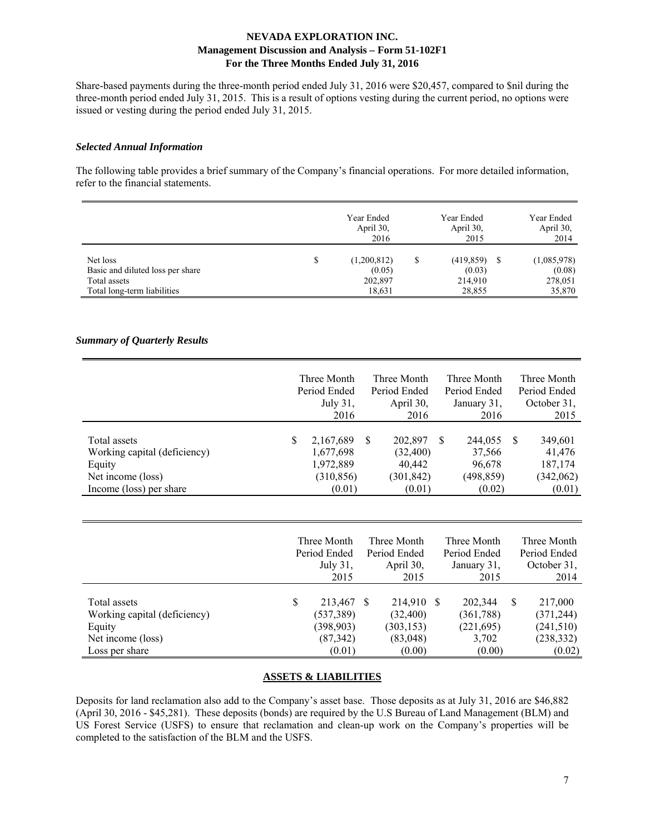Share-based payments during the three-month period ended July 31, 2016 were \$20,457, compared to \$nil during the three-month period ended July 31, 2015. This is a result of options vesting during the current period, no options were issued or vesting during the period ended July 31, 2015.

#### *Selected Annual Information*

The following table provides a brief summary of the Company's financial operations. For more detailed information, refer to the financial statements.

|                                  |   | Year Ended<br>April 30,<br>2016 | Year Ended<br>April 30,<br>2015 | Year Ended<br>April 30,<br>2014 |
|----------------------------------|---|---------------------------------|---------------------------------|---------------------------------|
| Net loss                         | S | (1,200,812)                     | $(419,859)$ \$                  | (1,085,978)                     |
| Basic and diluted loss per share |   | (0.05)                          | (0.03)                          | (0.08)                          |
| Total assets                     |   | 202,897                         | 214,910                         | 278,051                         |
| Total long-term liabilities      |   | 18,631                          | 28,855                          | 35,870                          |

### *Summary of Quarterly Results*

|                                                        |    | Three Month<br>Period Ended<br>July $31$ ,<br>2016 |    | Three Month<br>Period Ended<br>April 30.<br>2016 |    | Three Month<br>Period Ended<br>January 31,<br>2016 |     | Three Month<br>Period Ended<br>October 31,<br>2015 |
|--------------------------------------------------------|----|----------------------------------------------------|----|--------------------------------------------------|----|----------------------------------------------------|-----|----------------------------------------------------|
| Total assets<br>Working capital (deficiency)<br>Equity | S. | 2,167,689<br>1,677,698<br>1,972,889                | -S | 202,897<br>(32, 400)<br>40,442                   | -S | 244,055<br>37,566<br>96,678                        | - S | 349,601<br>41,476<br>187,174                       |
| Net income (loss)<br>Income (loss) per share           |    | (310, 856)<br>(0.01)                               |    | (301, 842)<br>(0.01)                             |    | (498, 859)<br>(0.02)                               |     | (342,062)<br>(0.01)                                |

|                                                                             |    | Three Month<br>Period Ended<br>July 31,<br>2015  | Three Month<br>Period Ended<br>April 30,<br>2015  | Three Month<br>Period Ended<br>January 31,<br>2015 |   | Three Month<br>Period Ended<br>October 31,<br>2014 |
|-----------------------------------------------------------------------------|----|--------------------------------------------------|---------------------------------------------------|----------------------------------------------------|---|----------------------------------------------------|
| Total assets<br>Working capital (deficiency)<br>Equity<br>Net income (loss) | S. | 213,467<br>(537, 389)<br>(398, 903)<br>(87, 342) | 214,910 \$<br>(32, 400)<br>(303, 153)<br>(83,048) | 202,344<br>(361, 788)<br>(221, 695)<br>3,702       | S | 217,000<br>(371, 244)<br>(241,510)<br>(238, 332)   |
| Loss per share                                                              |    | (0.01)                                           | (0.00)                                            | (0.00)                                             |   | (0.02)                                             |

### **ASSETS & LIABILITIES**

Deposits for land reclamation also add to the Company's asset base. Those deposits as at July 31, 2016 are \$46,882 (April 30, 2016 - \$45,281). These deposits (bonds) are required by the U.S Bureau of Land Management (BLM) and US Forest Service (USFS) to ensure that reclamation and clean-up work on the Company's properties will be completed to the satisfaction of the BLM and the USFS.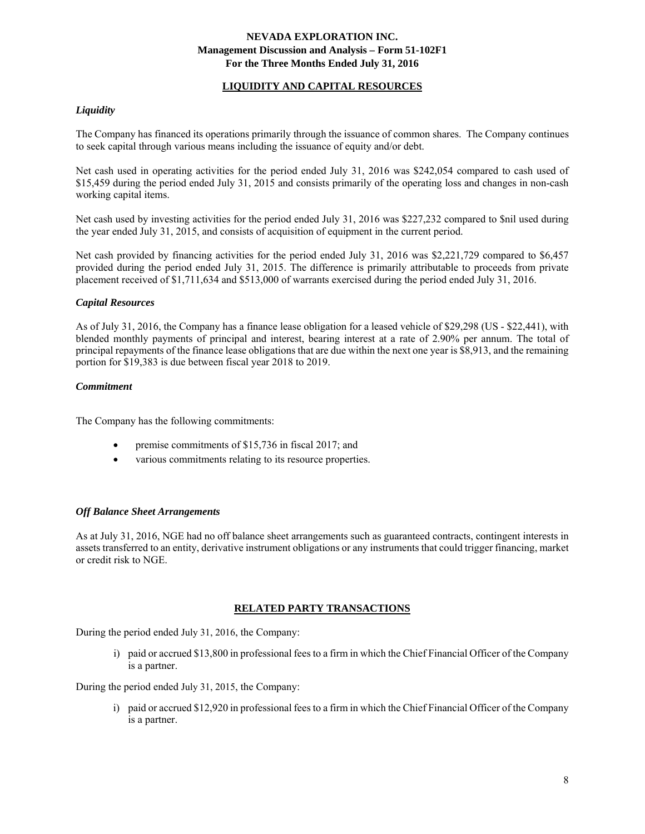### **LIQUIDITY AND CAPITAL RESOURCES**

## *Liquidity*

The Company has financed its operations primarily through the issuance of common shares. The Company continues to seek capital through various means including the issuance of equity and/or debt.

Net cash used in operating activities for the period ended July 31, 2016 was \$242,054 compared to cash used of \$15,459 during the period ended July 31, 2015 and consists primarily of the operating loss and changes in non-cash working capital items.

Net cash used by investing activities for the period ended July 31, 2016 was \$227,232 compared to \$nil used during the year ended July 31, 2015, and consists of acquisition of equipment in the current period.

Net cash provided by financing activities for the period ended July 31, 2016 was \$2,221,729 compared to \$6,457 provided during the period ended July 31, 2015. The difference is primarily attributable to proceeds from private placement received of \$1,711,634 and \$513,000 of warrants exercised during the period ended July 31, 2016.

### *Capital Resources*

As of July 31, 2016, the Company has a finance lease obligation for a leased vehicle of \$29,298 (US - \$22,441), with blended monthly payments of principal and interest, bearing interest at a rate of 2.90% per annum. The total of principal repayments of the finance lease obligations that are due within the next one year is \$8,913, and the remaining portion for \$19,383 is due between fiscal year 2018 to 2019.

#### *Commitment*

The Company has the following commitments:

- premise commitments of \$15,736 in fiscal 2017; and
- various commitments relating to its resource properties.

#### *Off Balance Sheet Arrangements*

As at July 31, 2016, NGE had no off balance sheet arrangements such as guaranteed contracts, contingent interests in assets transferred to an entity, derivative instrument obligations or any instruments that could trigger financing, market or credit risk to NGE.

### **RELATED PARTY TRANSACTIONS**

During the period ended July 31, 2016, the Company:

i) paid or accrued \$13,800 in professional fees to a firm in which the Chief Financial Officer of the Company is a partner.

During the period ended July 31, 2015, the Company:

i) paid or accrued \$12,920 in professional fees to a firm in which the Chief Financial Officer of the Company is a partner.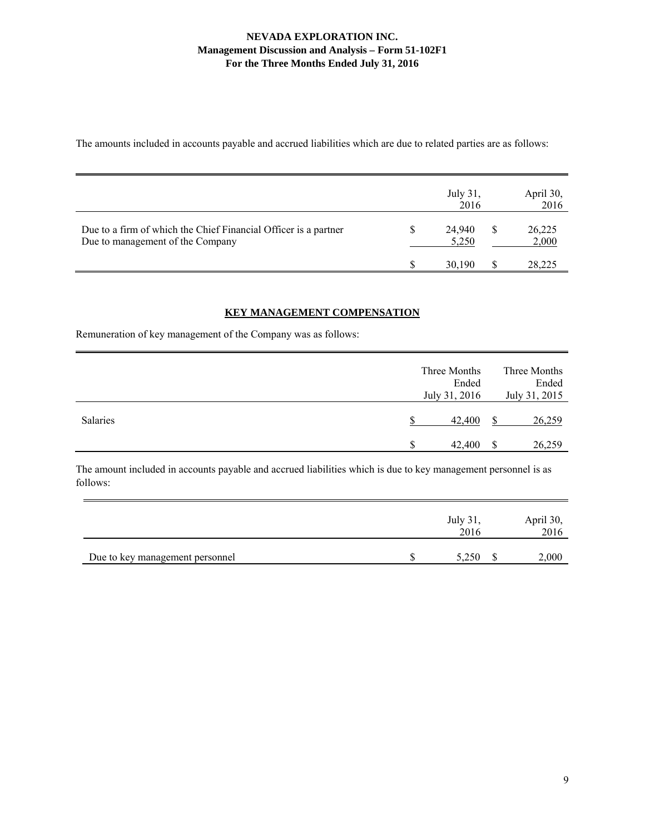The amounts included in accounts payable and accrued liabilities which are due to related parties are as follows:

|                                                                                                     | July 31,<br>2016 | April 30,<br>2016 |
|-----------------------------------------------------------------------------------------------------|------------------|-------------------|
| Due to a firm of which the Chief Financial Officer is a partner<br>Due to management of the Company | 24,940<br>5,250  | 26,225<br>2,000   |
|                                                                                                     | 30.190           | 28,225            |

# **KEY MANAGEMENT COMPENSATION**

Remuneration of key management of the Company was as follows:

|                 | Three Months<br>Ended<br>July 31, 2016 |   | Three Months<br>Ended<br>July 31, 2015 |
|-----------------|----------------------------------------|---|----------------------------------------|
| <b>Salaries</b> | 42,400                                 |   | 26,259                                 |
|                 | 42,400                                 | S | 26,259                                 |

The amount included in accounts payable and accrued liabilities which is due to key management personnel is as follows:

|                                 | July 31.<br>2016 | April 30,<br>2016 |
|---------------------------------|------------------|-------------------|
| Due to key management personnel | 5.250            | 2,000             |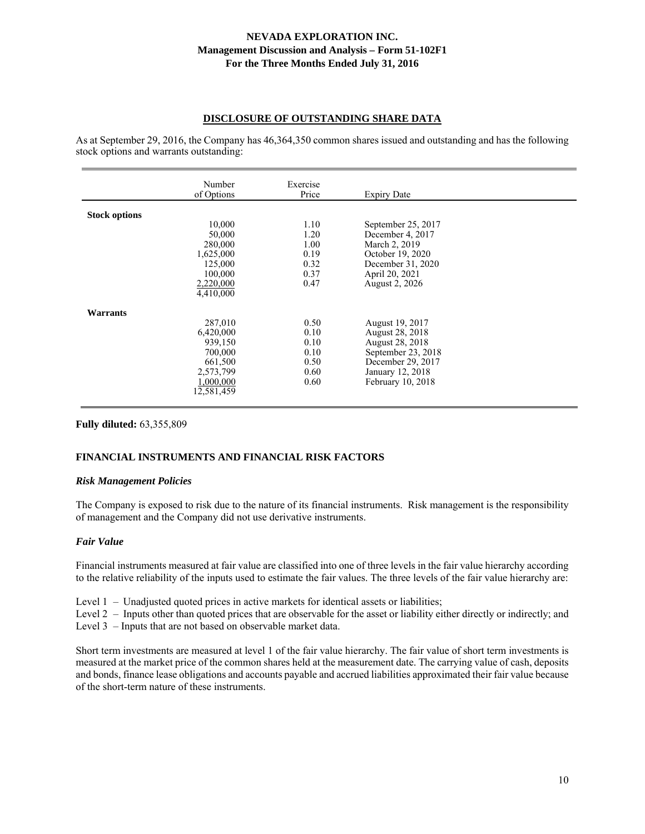### **DISCLOSURE OF OUTSTANDING SHARE DATA**

As at September 29, 2016, the Company has 46,364,350 common shares issued and outstanding and has the following stock options and warrants outstanding:

|                      | Number<br>of Options | Exercise<br>Price | <b>Expiry Date</b>     |  |
|----------------------|----------------------|-------------------|------------------------|--|
|                      |                      |                   |                        |  |
| <b>Stock options</b> |                      |                   |                        |  |
|                      | 10,000               | 1.10              | September 25, 2017     |  |
|                      | 50,000               | 1.20              | December 4, 2017       |  |
|                      | 280,000              | 1.00              | March 2, 2019          |  |
|                      | 1,625,000            | 0.19              | October 19, 2020       |  |
|                      | 125,000              | 0.32              | December 31, 2020      |  |
|                      | 100,000              | 0.37              | April 20, 2021         |  |
|                      | 2,220,000            | 0.47              | August 2, 2026         |  |
|                      | 4,410,000            |                   |                        |  |
| <b>Warrants</b>      |                      |                   |                        |  |
|                      | 287,010              | 0.50              | <b>August 19, 2017</b> |  |
|                      | 6,420,000            | 0.10              | August 28, 2018        |  |
|                      | 939,150              | 0.10              | August 28, 2018        |  |
|                      | 700,000              | 0.10              | September 23, 2018     |  |
|                      | 661,500              | 0.50              | December 29, 2017      |  |
|                      | 2,573,799            | 0.60              | January 12, 2018       |  |
|                      | 1,000,000            | 0.60              | February 10, 2018      |  |
|                      | 12,581,459           |                   |                        |  |

### **Fully diluted:** 63,355,809

### **FINANCIAL INSTRUMENTS AND FINANCIAL RISK FACTORS**

#### *Risk Management Policies*

The Company is exposed to risk due to the nature of its financial instruments. Risk management is the responsibility of management and the Company did not use derivative instruments.

#### *Fair Value*

Financial instruments measured at fair value are classified into one of three levels in the fair value hierarchy according to the relative reliability of the inputs used to estimate the fair values. The three levels of the fair value hierarchy are:

- Level 1 Unadjusted quoted prices in active markets for identical assets or liabilities;
- Level 2 Inputs other than quoted prices that are observable for the asset or liability either directly or indirectly; and Level 3 – Inputs that are not based on observable market data.

Short term investments are measured at level 1 of the fair value hierarchy. The fair value of short term investments is measured at the market price of the common shares held at the measurement date. The carrying value of cash, deposits and bonds, finance lease obligations and accounts payable and accrued liabilities approximated their fair value because of the short-term nature of these instruments.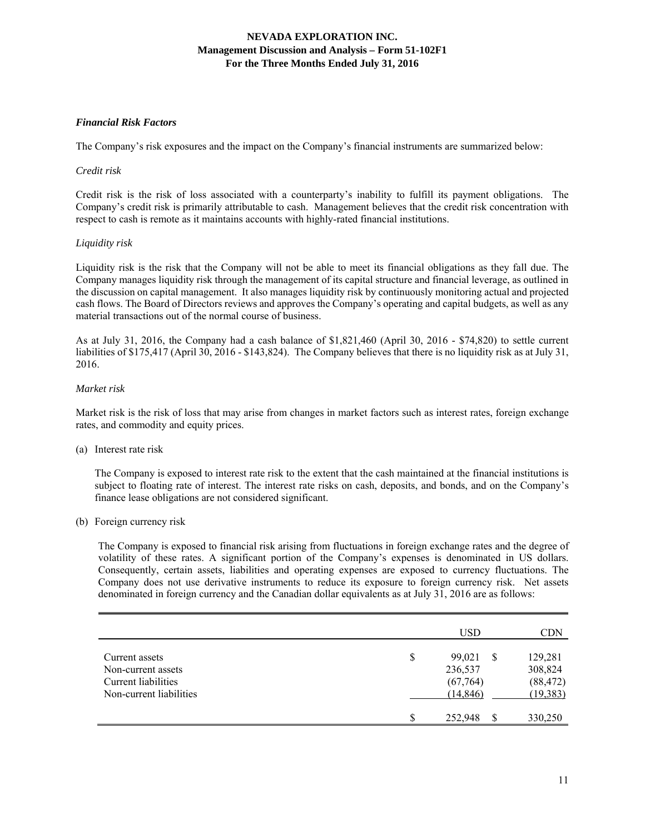## *Financial Risk Factors*

The Company's risk exposures and the impact on the Company's financial instruments are summarized below:

#### *Credit risk*

Credit risk is the risk of loss associated with a counterparty's inability to fulfill its payment obligations. The Company's credit risk is primarily attributable to cash. Management believes that the credit risk concentration with respect to cash is remote as it maintains accounts with highly-rated financial institutions.

### *Liquidity risk*

Liquidity risk is the risk that the Company will not be able to meet its financial obligations as they fall due. The Company manages liquidity risk through the management of its capital structure and financial leverage, as outlined in the discussion on capital management. It also manages liquidity risk by continuously monitoring actual and projected cash flows. The Board of Directors reviews and approves the Company's operating and capital budgets, as well as any material transactions out of the normal course of business.

As at July 31, 2016, the Company had a cash balance of \$1,821,460 (April 30, 2016 - \$74,820) to settle current liabilities of \$175,417 (April 30, 2016 - \$143,824). The Company believes that there is no liquidity risk as at July 31, 2016.

### *Market risk*

Market risk is the risk of loss that may arise from changes in market factors such as interest rates, foreign exchange rates, and commodity and equity prices.

(a) Interest rate risk

 The Company is exposed to interest rate risk to the extent that the cash maintained at the financial institutions is subject to floating rate of interest. The interest rate risks on cash, deposits, and bonds, and on the Company's finance lease obligations are not considered significant.

(b) Foreign currency risk

The Company is exposed to financial risk arising from fluctuations in foreign exchange rates and the degree of volatility of these rates. A significant portion of the Company's expenses is denominated in US dollars. Consequently, certain assets, liabilities and operating expenses are exposed to currency fluctuations. The Company does not use derivative instruments to reduce its exposure to foreign currency risk. Net assets denominated in foreign currency and the Canadian dollar equivalents as at July 31, 2016 are as follows:

|                                                                                        |    | USD                                        |   | CDN                                          |
|----------------------------------------------------------------------------------------|----|--------------------------------------------|---|----------------------------------------------|
| Current assets<br>Non-current assets<br>Current liabilities<br>Non-current liabilities | \$ | 99,021<br>236,537<br>(67,764)<br>(14, 846) | S | 129,281<br>308,824<br>(88, 472)<br>(19, 383) |
|                                                                                        | S  | 252,948                                    |   | 330,250                                      |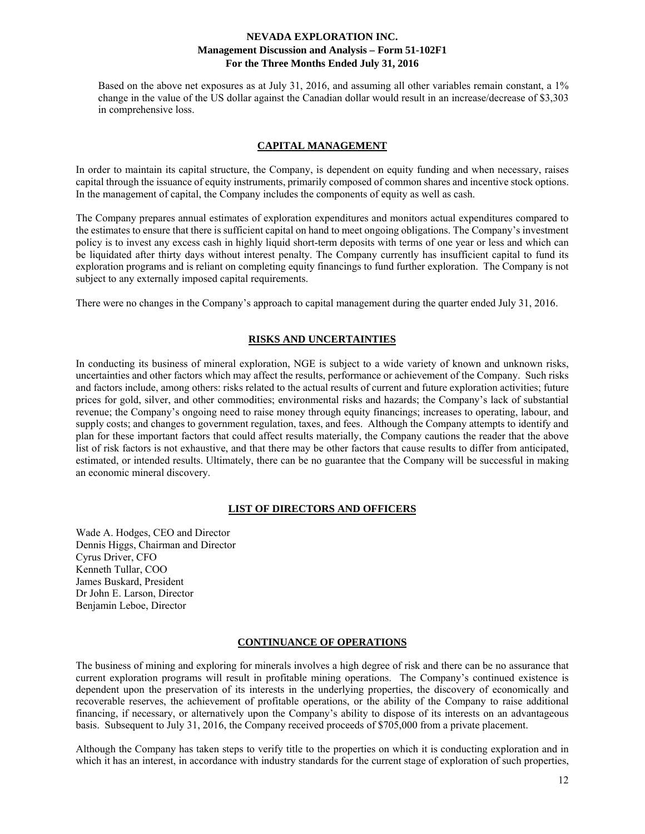Based on the above net exposures as at July 31, 2016, and assuming all other variables remain constant, a 1% change in the value of the US dollar against the Canadian dollar would result in an increase/decrease of \$3,303 in comprehensive loss.

#### **CAPITAL MANAGEMENT**

In order to maintain its capital structure, the Company, is dependent on equity funding and when necessary, raises capital through the issuance of equity instruments, primarily composed of common shares and incentive stock options. In the management of capital, the Company includes the components of equity as well as cash.

The Company prepares annual estimates of exploration expenditures and monitors actual expenditures compared to the estimates to ensure that there is sufficient capital on hand to meet ongoing obligations. The Company's investment policy is to invest any excess cash in highly liquid short-term deposits with terms of one year or less and which can be liquidated after thirty days without interest penalty. The Company currently has insufficient capital to fund its exploration programs and is reliant on completing equity financings to fund further exploration. The Company is not subject to any externally imposed capital requirements.

There were no changes in the Company's approach to capital management during the quarter ended July 31, 2016.

#### **RISKS AND UNCERTAINTIES**

In conducting its business of mineral exploration, NGE is subject to a wide variety of known and unknown risks, uncertainties and other factors which may affect the results, performance or achievement of the Company. Such risks and factors include, among others: risks related to the actual results of current and future exploration activities; future prices for gold, silver, and other commodities; environmental risks and hazards; the Company's lack of substantial revenue; the Company's ongoing need to raise money through equity financings; increases to operating, labour, and supply costs; and changes to government regulation, taxes, and fees. Although the Company attempts to identify and plan for these important factors that could affect results materially, the Company cautions the reader that the above list of risk factors is not exhaustive, and that there may be other factors that cause results to differ from anticipated, estimated, or intended results. Ultimately, there can be no guarantee that the Company will be successful in making an economic mineral discovery.

#### **LIST OF DIRECTORS AND OFFICERS**

Wade A. Hodges, CEO and Director Dennis Higgs, Chairman and Director Cyrus Driver, CFO Kenneth Tullar, COO James Buskard, President Dr John E. Larson, Director Benjamin Leboe, Director

#### **CONTINUANCE OF OPERATIONS**

The business of mining and exploring for minerals involves a high degree of risk and there can be no assurance that current exploration programs will result in profitable mining operations. The Company's continued existence is dependent upon the preservation of its interests in the underlying properties, the discovery of economically and recoverable reserves, the achievement of profitable operations, or the ability of the Company to raise additional financing, if necessary, or alternatively upon the Company's ability to dispose of its interests on an advantageous basis. Subsequent to July 31, 2016, the Company received proceeds of \$705,000 from a private placement.

Although the Company has taken steps to verify title to the properties on which it is conducting exploration and in which it has an interest, in accordance with industry standards for the current stage of exploration of such properties,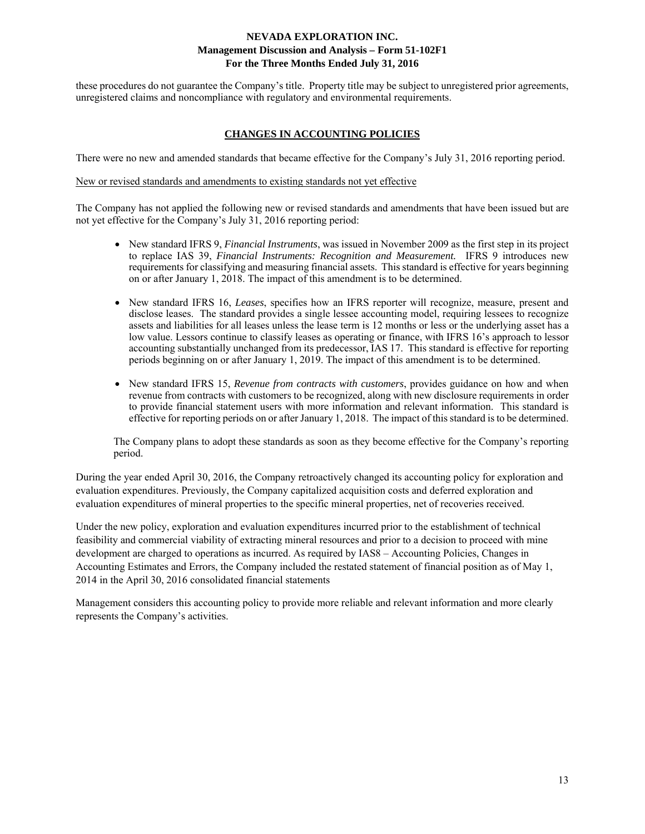these procedures do not guarantee the Company's title. Property title may be subject to unregistered prior agreements, unregistered claims and noncompliance with regulatory and environmental requirements.

### **CHANGES IN ACCOUNTING POLICIES**

There were no new and amended standards that became effective for the Company's July 31, 2016 reporting period.

#### New or revised standards and amendments to existing standards not yet effective

The Company has not applied the following new or revised standards and amendments that have been issued but are not yet effective for the Company's July 31, 2016 reporting period:

- New standard IFRS 9, *Financial Instruments*, was issued in November 2009 as the first step in its project to replace IAS 39, *Financial Instruments: Recognition and Measurement.* IFRS 9 introduces new requirements for classifying and measuring financial assets. This standard is effective for years beginning on or after January 1, 2018. The impact of this amendment is to be determined.
- New standard IFRS 16, *Leases*, specifies how an IFRS reporter will recognize, measure, present and disclose leases. The standard provides a single lessee accounting model, requiring lessees to recognize assets and liabilities for all leases unless the lease term is 12 months or less or the underlying asset has a low value. Lessors continue to classify leases as operating or finance, with IFRS 16's approach to lessor accounting substantially unchanged from its predecessor, IAS 17. This standard is effective for reporting periods beginning on or after January 1, 2019. The impact of this amendment is to be determined.
- New standard IFRS 15, *Revenue from contracts with customers*, provides guidance on how and when revenue from contracts with customers to be recognized, along with new disclosure requirements in order to provide financial statement users with more information and relevant information. This standard is effective for reporting periods on or after January 1, 2018. The impact of this standard is to be determined.

The Company plans to adopt these standards as soon as they become effective for the Company's reporting period.

During the year ended April 30, 2016, the Company retroactively changed its accounting policy for exploration and evaluation expenditures. Previously, the Company capitalized acquisition costs and deferred exploration and evaluation expenditures of mineral properties to the specific mineral properties, net of recoveries received.

Under the new policy, exploration and evaluation expenditures incurred prior to the establishment of technical feasibility and commercial viability of extracting mineral resources and prior to a decision to proceed with mine development are charged to operations as incurred. As required by IAS8 – Accounting Policies, Changes in Accounting Estimates and Errors, the Company included the restated statement of financial position as of May 1, 2014 in the April 30, 2016 consolidated financial statements

Management considers this accounting policy to provide more reliable and relevant information and more clearly represents the Company's activities.